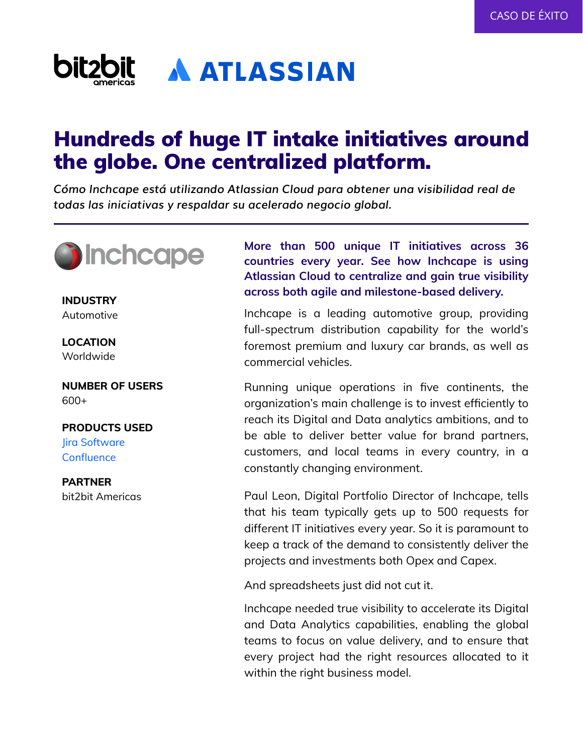

# Hundreds of huge IT intake initiatives around the globe. One centralized platform.

*Cómo Inchcape está utilizando Atlassian Cloud para obtener una visibilidad real de todas las iniciativas y respaldar su acelerado negocio global.*



Automotive

**LOCATION** Worldwide

**NUMBER OF USERS**  $600+$ 

## **PRODUCTS USED**

Jira Software **Confluence** 

**PARTNER** bit2bit Americas

**More than 500 unique IT initiatives across 36 countries every year. See how Inchcape is using Atlassian Cloud to centralize and gain true visibility across both agile and milestone-based delivery. INDUSTRY**

> Inchcape is a leading automotive group, providing full-spectrum distribution capability for the world's foremost premium and luxury car brands, as well as commercial vehicles.

> Running unique operations in five continents, the organization's main challenge is to invest efficiently to reach its Digital and Data analytics ambitions, and to be able to deliver better value for brand partners, customers, and local teams in every country, in a constantly changing environment.

> Paul Leon, Digital Portfolio Director of Inchcape, tells that his team typically gets up to 500 requests for different IT initiatives every year. So it is paramount to keep a track of the demand to consistently deliver the projects and investments both Opex and Capex.

And spreadsheets just did not cut it.

Inchcape needed true visibility to accelerate its Digital and Data Analytics capabilities, enabling the global teams to focus on value delivery, and to ensure that every project had the right resources allocated to it within the right business model.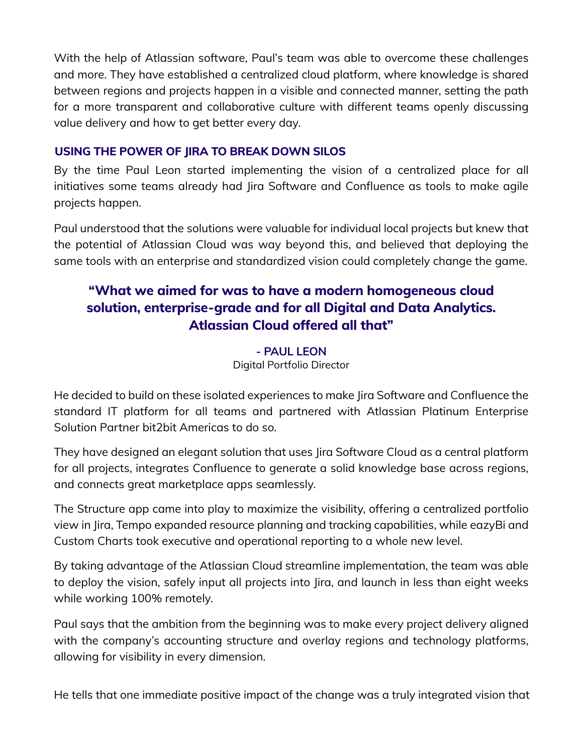With the help of Atlassian software, Paul's team was able to overcome these challenges and more. They have established a centralized cloud platform, where knowledge is shared between regions and projects happen in a visible and connected manner, setting the path for a more transparent and collaborative culture with different teams openly discussing value delivery and how to get better every day.

#### **USING THE POWER OF JIRA TO BREAK DOWN SILOS**

By the time Paul Leon started implementing the vision of a centralized place for all initiatives some teams already had Jira Software and Confluence as tools to make agile projects happen.

Paul understood that the solutions were valuable for individual local projects but knew that the potential of Atlassian Cloud was way beyond this, and believed that deploying the same tools with an enterprise and standardized vision could completely change the game.

## **"What we aimed for was to have a modern homogeneous cloud solution, enterprise-grade and for all Digital and Data Analytics. Atlassian Cloud offered all that"**

**- PAUL LEON** Digital Portfolio Director

He decided to build on these isolated experiences to make Jira Software and Confluence the standard IT platform for all teams and partnered with Atlassian Platinum Enterprise Solution Partner bit2bit Americas to do so.

They have designed an elegant solution that uses Jira Software Cloud as a central platform for all projects, integrates Confluence to generate a solid knowledge base across regions, and connects great marketplace apps seamlessly.

The Structure app came into play to maximize the visibility, offering a centralized portfolio view in Jira, Tempo expanded resource planning and tracking capabilities, while eazyBi and Custom Charts took executive and operational reporting to a whole new level.

By taking advantage of the Atlassian Cloud streamline implementation, the team was able to deploy the vision, safely input all projects into Jira, and launch in less than eight weeks while working 100% remotely.

Paul says that the ambition from the beginning was to make every project delivery aligned with the company's accounting structure and overlay regions and technology platforms, allowing for visibility in every dimension.

He tells that one immediate positive impact of the change was a truly integrated vision that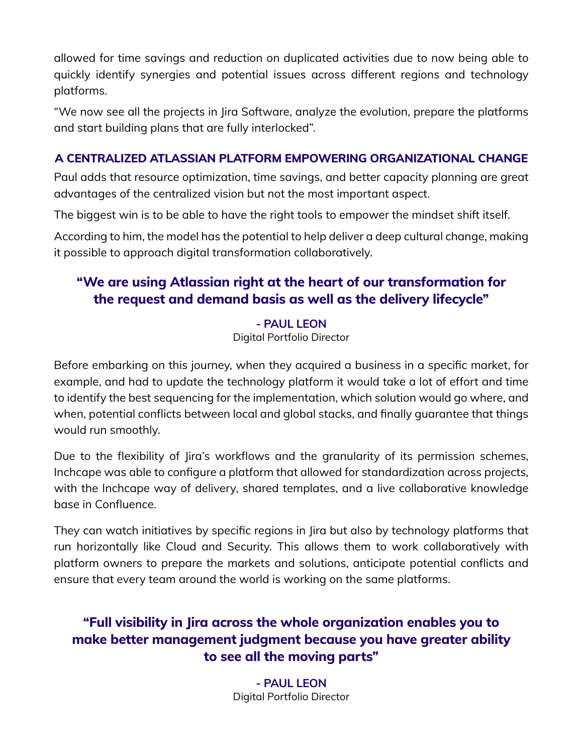allowed for time savings and reduction on duplicated activities due to now being able to quickly identify synergies and potential issues across different regions and technology platforms.

"We now see all the projects in Jira Software, analyze the evolution, prepare the platforms and start building plans that are fully interlocked".

### **A CENTRALIZED ATLASSIAN PLATFORM EMPOWERING ORGANIZATIONAL CHANGE**

Paul adds that resource optimization, time savings, and better capacity planning are great advantages of the centralized vision but not the most important aspect.

The biggest win is to be able to have the right tools to empower the mindset shift itself.

According to him, the model has the potential to help deliver a deep cultural change, making it possible to approach digital transformation collaboratively.

## **"We are using Atlassian right at the heart of our transformation for the request and demand basis as well as the delivery lifecycle"**

#### **- PAUL LEON**

Digital Portfolio Director

Before embarking on this journey, when they acquired a business in a specific market, for example, and had to update the technology platform it would take a lot of effort and time to identify the best sequencing for the implementation, which solution would go where, and when, potential conflicts between local and global stacks, and finally guarantee that things would run smoothly.

Due to the flexibility of Jira's workflows and the granularity of its permission schemes, Inchcape was able to configure a platform that allowed for standardization across projects, with the Inchcape way of delivery, shared templates, and a live collaborative knowledge base in Confluence.

They can watch initiatives by specific regions in Jira but also by technology platforms that run horizontally like Cloud and Security. This allows them to work collaboratively with platform owners to prepare the markets and solutions, anticipate potential conflicts and ensure that every team around the world is working on the same platforms.

## **"Full visibility in Jira across the whole organization enables you to make better management judgment because you have greater ability to see all the moving parts"**

**- PAUL LEON** Digital Portfolio Director